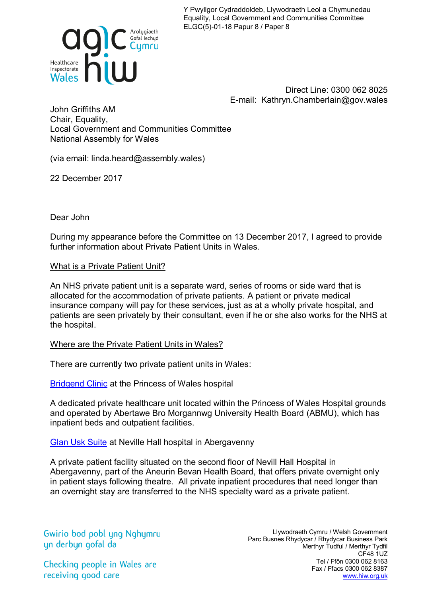Y Pwyllgor Cydraddoldeb, Llywodraeth Leol a Chymunedau Equality, Local Government and Communities Committee ELGC(5)-01-18 Papur 8 / Paper 8



Direct Line: 0300 062 8025 E-mail: Kathryn.Chamberlain@gov.wales

John Griffiths AM Chair, Equality, Local Government and Communities Committee National Assembly for Wales

(via email: linda.heard@assembly.wales)

22 December 2017

Dear John

During my appearance before the Committee on 13 December 2017, I agreed to provide further information about Private Patient Units in Wales.

What is a Private Patient Unit?

An NHS private patient unit is a separate ward, series of rooms or side ward that is allocated for the accommodation of private patients. A patient or private medical insurance company will pay for these services, just as at a wholly private hospital, and patients are seen privately by their consultant, even if he or she also works for the NHS at the hospital.

Where are the Private Patient Units in Wales?

There are currently two private patient units in Wales:

[Bridgend Clinic](http://bridgendclinic.co.uk/) at the Princess of Wales hospital

A dedicated private healthcare unit located within the Princess of Wales Hospital grounds and operated by Abertawe Bro Morgannwg University Health Board (ABMU), which has inpatient beds and outpatient facilities.

[Glan Usk Suite](http://www.wales.nhs.uk/sites3/home.cfm?orgid=875) at Neville Hall hospital in Abergavenny

A private patient facility situated on the second floor of Nevill Hall Hospital in Abergavenny, part of the Aneurin Bevan Health Board, that offers private overnight only in patient stays following theatre. All private inpatient procedures that need longer than an overnight stay are transferred to the NHS specialty ward as a private patient.

Gwirio bod pobl yng Nghymru yn derbyn gofal da

Llywodraeth Cymru / Welsh Government Parc Busnes Rhydycar / Rhydycar Business Park Merthyr Tudful / Merthyr Tydfil CF48 1UZ Tel / Ffôn 0300 062 8163 Fax / Ffacs 0300 062 8387 [www.hiw.org.uk](http://www.hiw.org.uk/)

Checking people in Wales are receiving good care